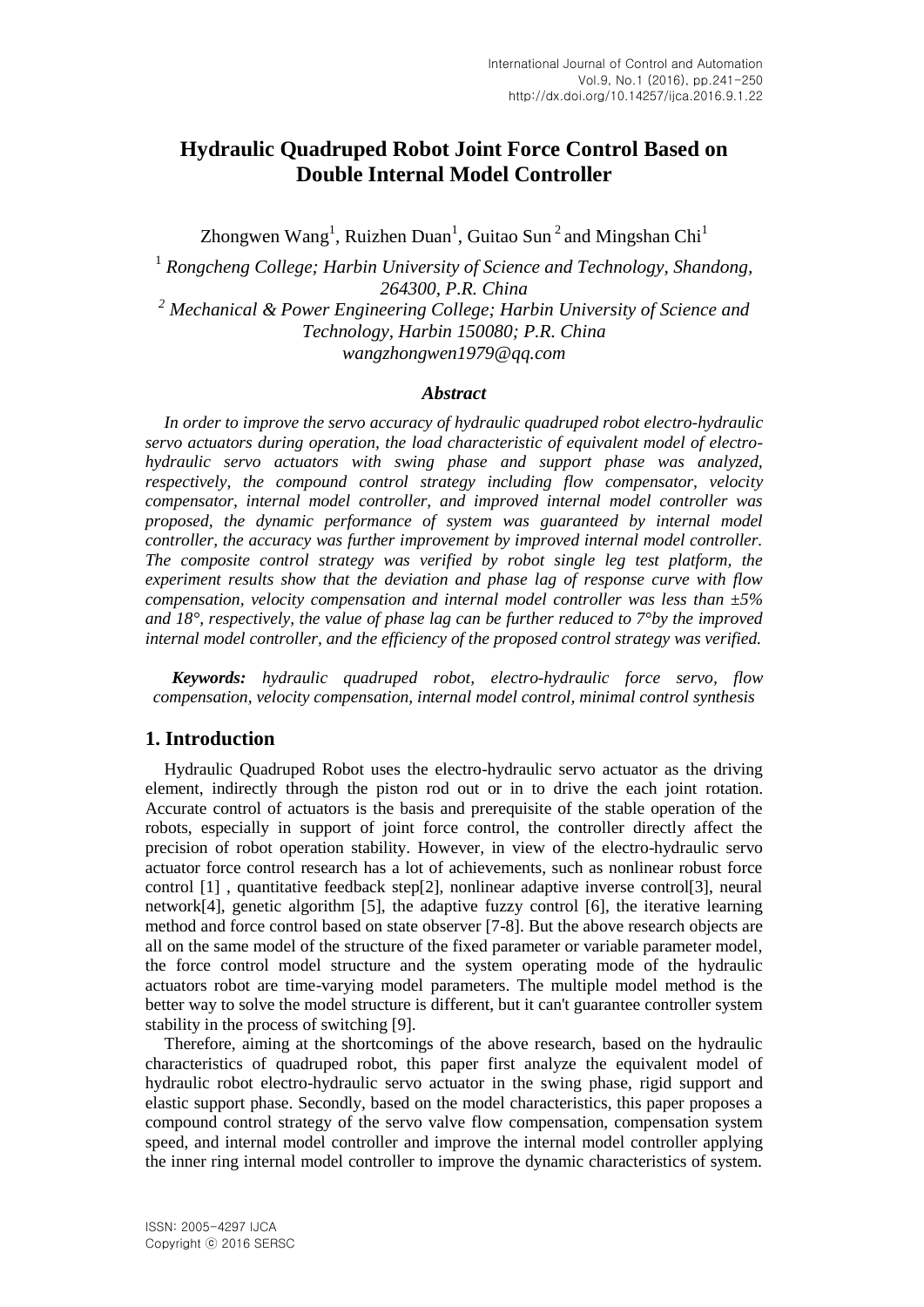# **Hydraulic Quadruped Robot Joint Force Control Based on Double Internal Model Controller**

Zhongwen Wang<sup>1</sup>, Ruizhen Duan<sup>1</sup>, Guitao Sun<sup>2</sup> and Mingshan Chi<sup>1</sup>

1 *Rongcheng College; Harbin University of Science and Technology, Shandong, 264300, P.R. China <sup>2</sup> Mechanical & Power Engineering College; Harbin University of Science and Technology, Harbin 150080; P.R. China [wangzhongwen1979@qq.com](mailto:wangzhongwen1979@qq.com)*

#### *Abstract*

*In order to improve the servo accuracy of hydraulic quadruped robot electro-hydraulic servo actuators during operation, the load characteristic of equivalent model of electrohydraulic servo actuators with swing phase and support phase was analyzed, respectively, the compound control strategy including flow compensator, velocity compensator, internal model controller, and improved internal model controller was proposed, the dynamic performance of system was guaranteed by internal model controller, the accuracy was further improvement by improved internal model controller. The composite control strategy was verified by robot single leg test platform, the experiment results show that the deviation and phase lag of response curve with flow compensation, velocity compensation and internal model controller was less than ±5% and 18°, respectively, the value of phase lag can be further reduced to 7°by the improved internal model controller, and the efficiency of the proposed control strategy was verified.*

*Keywords: hydraulic quadruped robot, electro-hydraulic force servo, flow compensation, velocity compensation, internal model control, minimal control synthesis* 

#### **1. Introduction**

Hydraulic Quadruped Robot uses the electro-hydraulic servo actuator as the driving element, indirectly through the piston rod out or in to drive the each joint rotation. Accurate control of actuators is the basis and prerequisite of the stable operation of the robots, especially in support of joint force control, the controller directly affect the precision of robot operation stability. However, in view of the electro-hydraulic servo actuator force control research has a lot of achievements, such as nonlinear robust force control [1] , quantitative feedback step[2], nonlinear adaptive inverse control[3], neural network[4], genetic algorithm [5], the adaptive fuzzy control [6], the iterative learning method and force control based on state observer [7-8]. But the above research objects are all on the same model of the structure of the fixed parameter or variable parameter model, the force control model structure and the system operating mode of the hydraulic actuators robot are time-varying model parameters. The multiple model method is the better way to solve the model structure is different, but it can't guarantee controller system stability in the process of switching [9].

Therefore, aiming at the shortcomings of the above research, based on the hydraulic characteristics of quadruped robot, this paper first analyze the equivalent model of hydraulic robot electro-hydraulic servo actuator in the swing phase, rigid support and elastic support phase. Secondly, based on the model characteristics, this paper proposes a compound control strategy of the servo valve flow compensation, compensation system speed, and internal model controller and improve the internal model controller applying the inner ring internal model controller to improve the dynamic characteristics of system.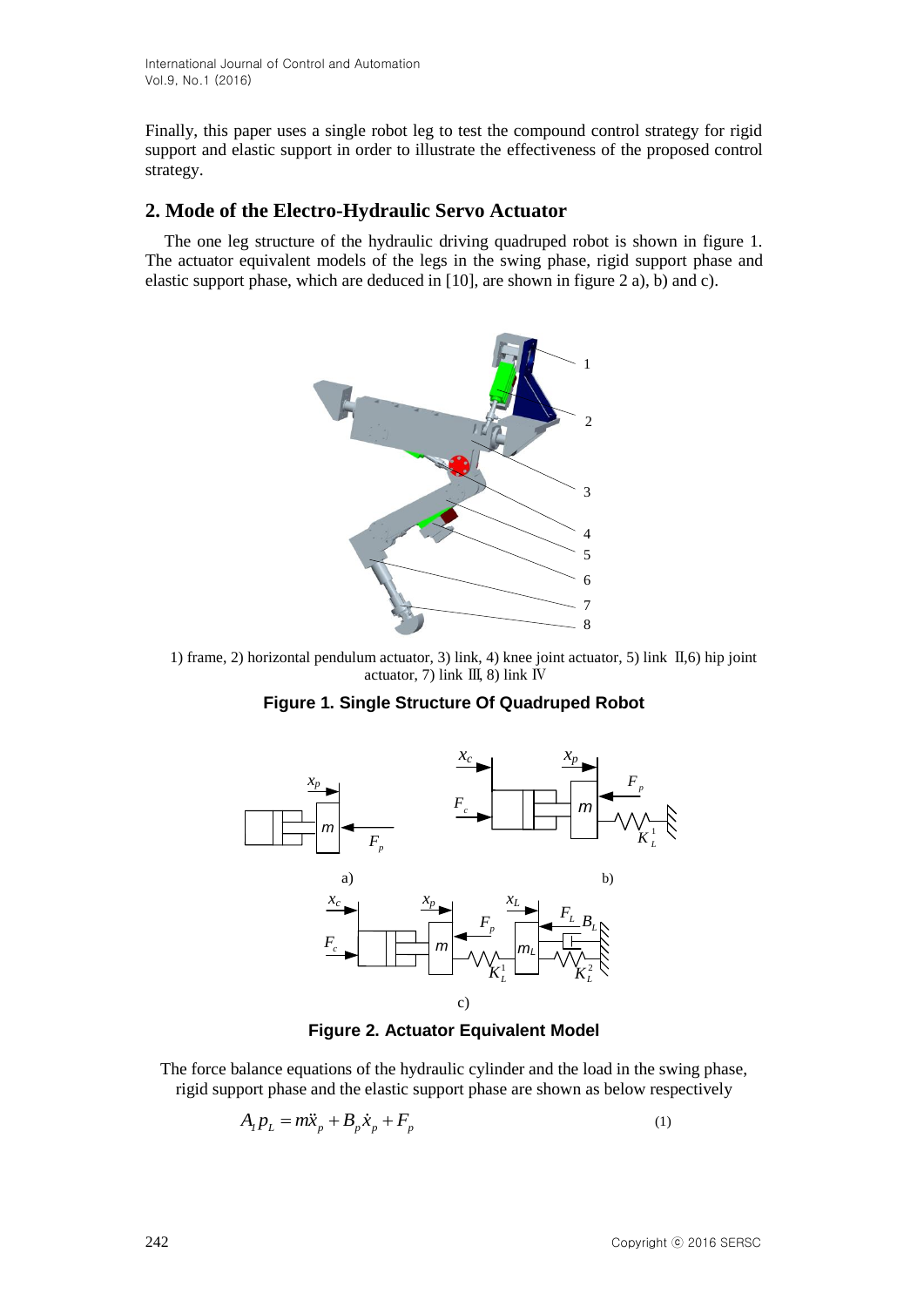Finally, this paper uses a single robot leg to test the compound control strategy for rigid support and elastic support in order to illustrate the effectiveness of the proposed control strategy.

## **2. Mode of the Electro-Hydraulic Servo Actuator**

The one leg structure of the hydraulic driving quadruped robot is shown in figure 1. The actuator equivalent models of the legs in the swing phase, rigid support phase and elastic support phase, which are deduced in [10], are shown in figure 2 a), b) and c).



1) frame, 2) horizontal pendulum actuator, 3) link, 4) knee joint actuator, 5) link Ⅱ,6) hip joint actuator, 7) link Ⅲ, 8) link Ⅳ





**Figure 2. Actuator Equivalent Model**

The force balance equations of the hydraulic cylinder and the load in the swing phase, rigid support phase and the elastic support phase are shown as below respectively

$$
A_{I}p_{L} = m\ddot{x}_{p} + B_{p}\dot{x}_{p} + F_{p}
$$
\n<sup>(1)</sup>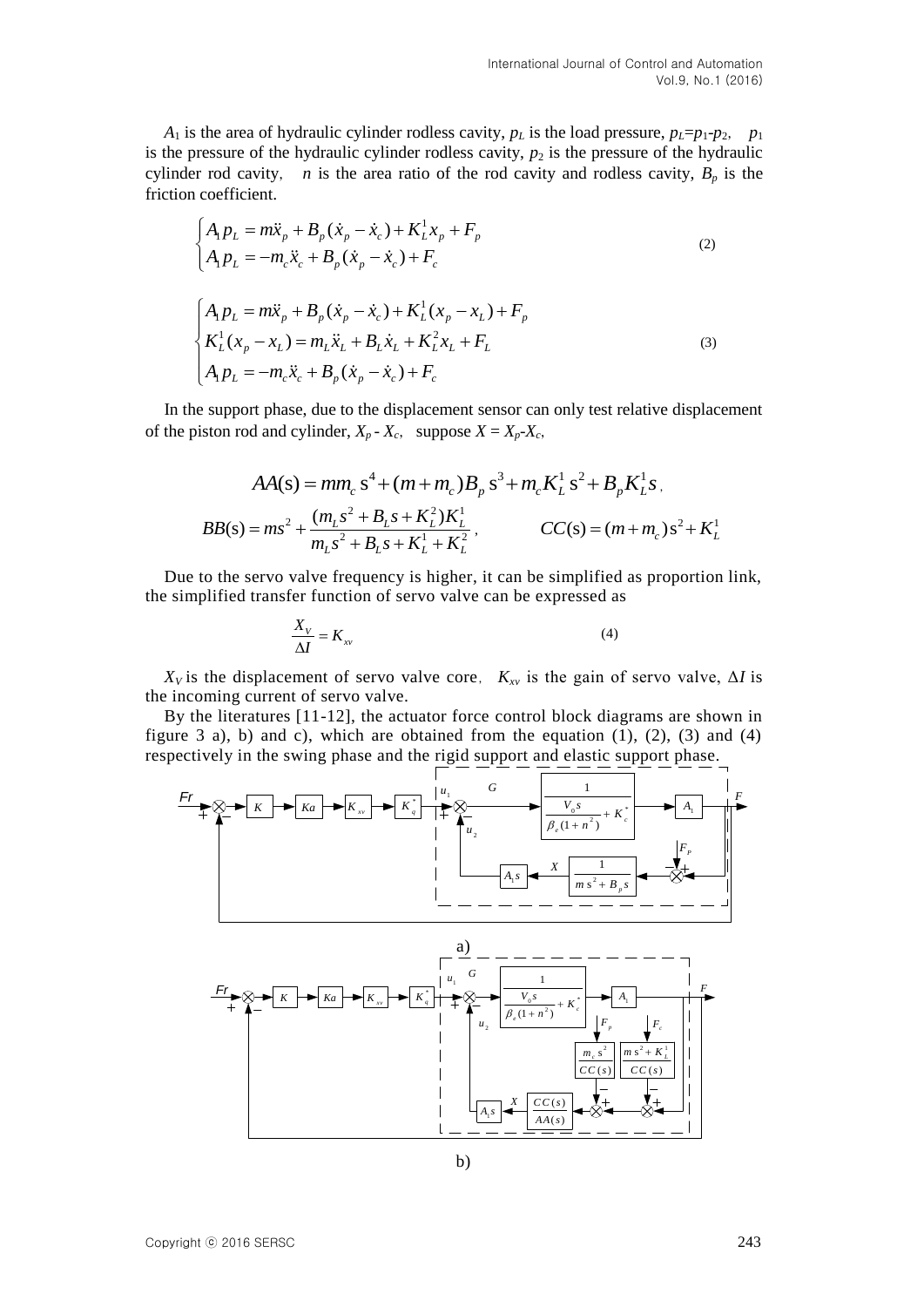*A*<sub>1</sub> is the area of hydraulic cylinder rodless cavity,  $p_L$  is the load pressure,  $p_L = p_1 - p_2$ ,  $p_1$ is the pressure of the hydraulic cylinder rodless cavity,  $p_2$  is the pressure of the hydraulic cylinder rod cavity, *n* is the area ratio of the rod cavity and rodless cavity,  $B_p$  is the friction coefficient.

(2)  
\n
$$
\begin{cases}\nA_1 p_L = m\ddot{x}_p + B_p (\dot{x}_p - \dot{x}_c) + K_L^1 x_p + F_p \\
A_1 p_L = -m_c \ddot{x}_c + B_p (\dot{x}_p - \dot{x}_c) + F_c\n\end{cases}
$$
\n
$$
\begin{cases}\nA_1 p_L = m\ddot{x}_p + B_p (\dot{x}_p - \dot{x}_c) + K_L^1 (x_p - x_L) + F_p \\
K_L^1 (x_p - x_L) = m_L \ddot{x}_L + B_L \dot{x}_L + K_L^2 x_L + F_L \\
A_1 p_L = -m_c \ddot{x}_c + B_p (\dot{x}_p - \dot{x}_c) + F_c\n\end{cases}
$$
\n(3)

In the support phase, due to the displacement sensor can only test relative displacement of the piston rod and cylinder,  $X_p - X_c$ , suppose  $X = X_p - X_c$ ,

$$
AA(s) = mm_c s^4 + (m + m_c)B_p s^3 + m_c K_L^1 s^2 + B_p K_L^1 s
$$
\n
$$
AB(s) = ms^2 + \frac{(m_L s^2 + B_L s + K_L^2) K_L^1}{m_L s^2 + B_L s + K_L^1 + K_L^2}, \qquad CC(s) = (m + m_c) s^2 + K_L^1
$$

Due to the servo valve frequency is higher, it can be simplified as proportion link, the simplified transfer function of servo valve can be expressed as

$$
\frac{X_V}{\Delta I} = K_{\scriptscriptstyle xy}
$$
 (4)

 $X_V$  is the displacement of servo valve core,  $K_{X_V}$  is the gain of servo valve,  $\Delta I$  is the incoming current of servo valve.

By the literatures [11-12], the actuator force control block diagrams are shown in figure 3 a), b) and c), which are obtained from the equation  $(1)$ ,  $(2)$ ,  $(3)$  and  $(4)$ 



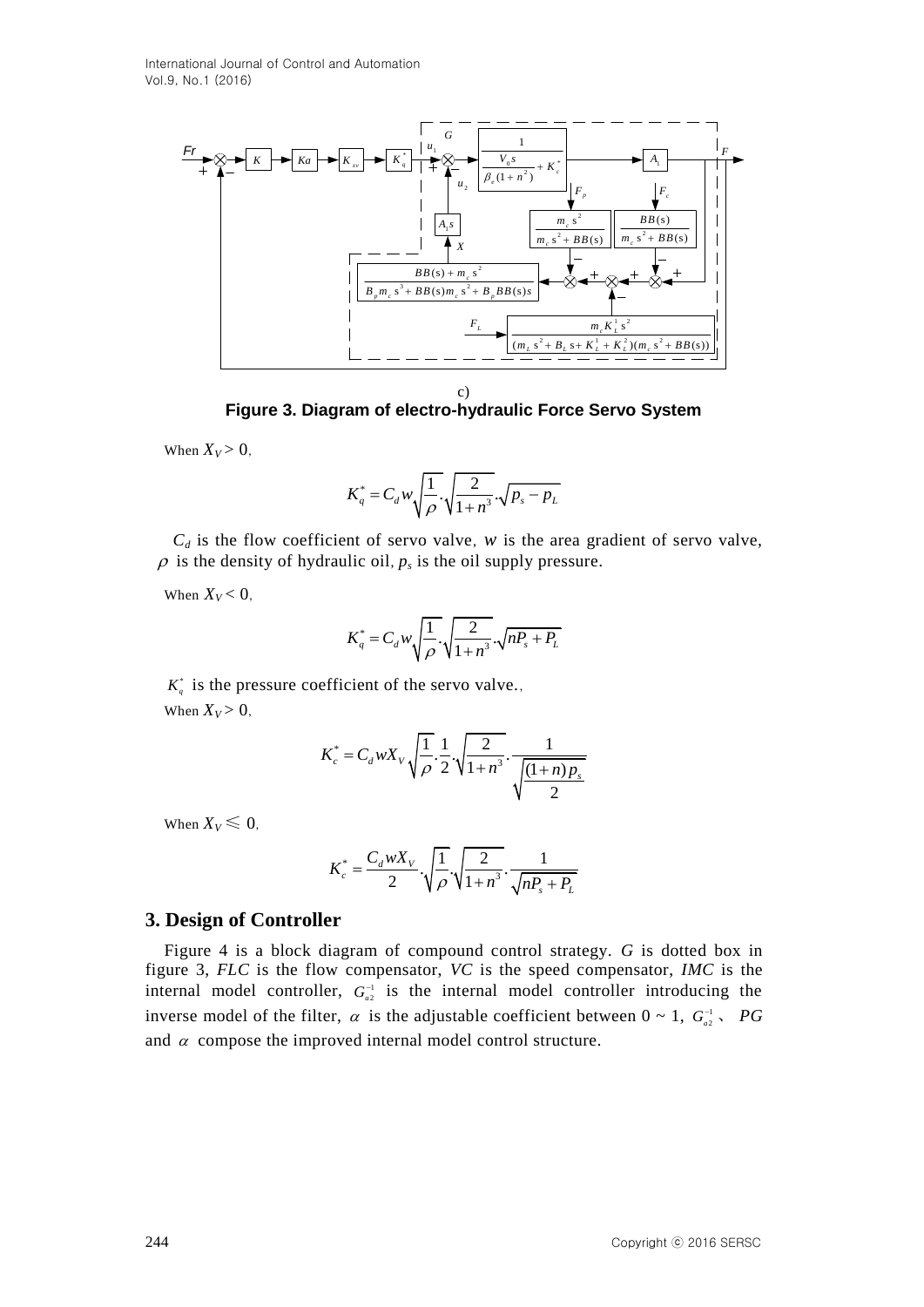

c)

**Figure 3. Diagram of electro-hydraulic Force Servo System**

When  $X_V > 0$ ,

$$
K_q^* = C_d w \sqrt{\frac{1}{\rho} \cdot \sqrt{\frac{2}{1+n^3}} \cdot \sqrt{p_s - p_L}}
$$

 $C_d$  is the flow coefficient of servo valve, *w* is the area gradient of servo valve,  $\rho$  is the density of hydraulic oil,  $p_s$  is the oil supply pressure.

When  $X_V < 0$ ,

$$
K_q^* = C_d w \sqrt{\frac{1}{\rho}} \sqrt{\frac{2}{1 + n^3}} \sqrt{n P_s + P_L}
$$

 $K_q^*$  is the pressure coefficient of the servo valve., When  $X_V > 0$ ,

$$
K_c^* = C_d W X_V \sqrt{\frac{1}{\rho}} \cdot \frac{1}{2} \cdot \sqrt{\frac{2}{1+n^3}} \cdot \frac{1}{\sqrt{\frac{(1+n) p_s}{2}}}
$$

When  $X_V \leq 0$ ,

$$
K_c^* = \frac{C_d w X_V}{2} \cdot \sqrt{\frac{1}{\rho}} \cdot \sqrt{\frac{2}{1 + n^3}} \cdot \frac{1}{\sqrt{n P_s + P_L}}
$$

#### **3. Design of Controller**

Figure 4 is a block diagram of compound control strategy. *G* is dotted box in figure 3, *FLC* is the flow compensator, *VC* is the speed compensator, *IMC* is the internal model controller,  $G_{a2}^{-1}$  is the internal model controller introducing the inverse model of the filter,  $\alpha$  is the adjustable coefficient between  $0 \sim 1$ ,  $G_{a2}^{-1}$ , *PG* and  $\alpha$  compose the improved internal model control structure.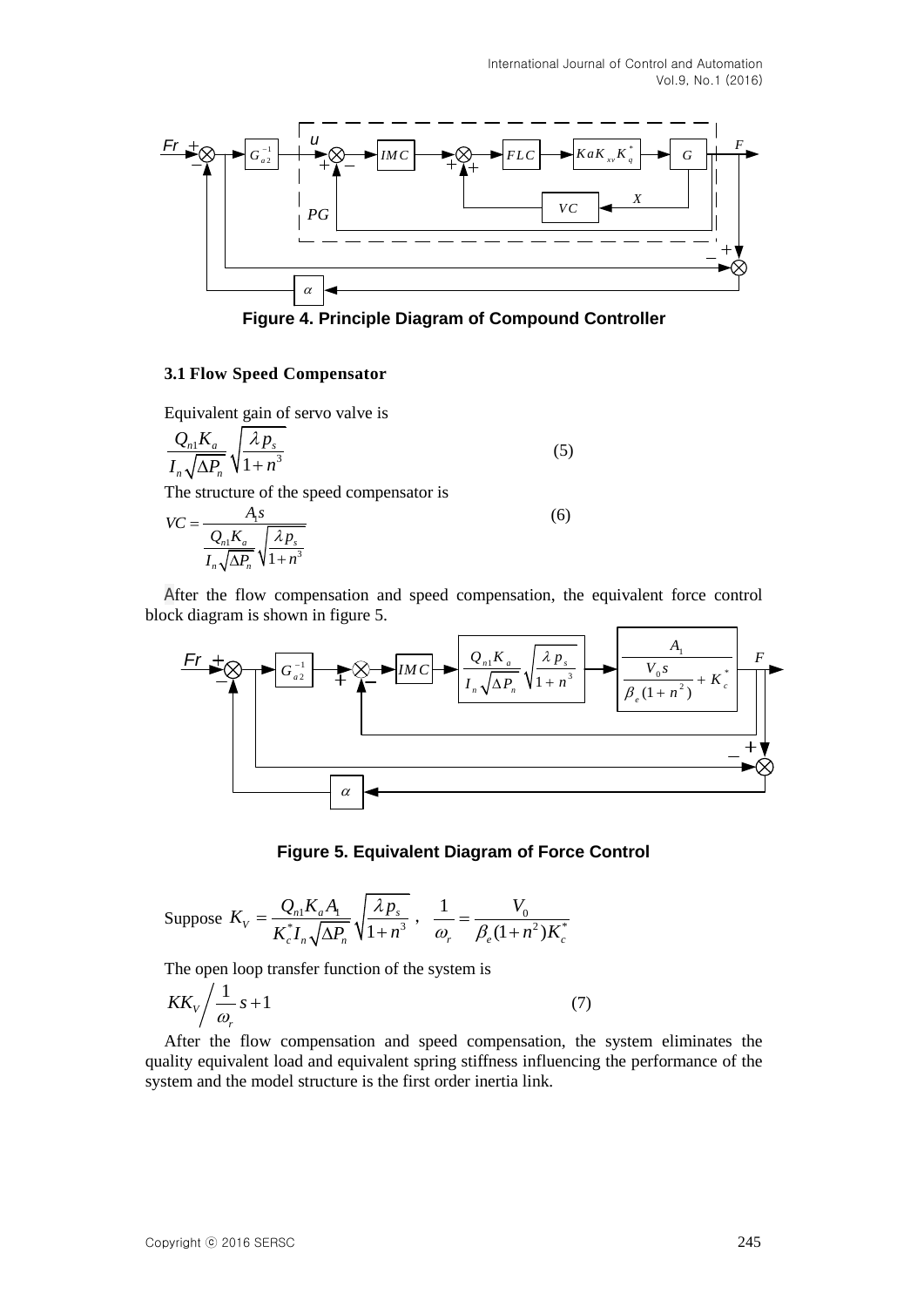

**Figure 4. Principle Diagram of Compound Controller**

### **3.1 Flow Speed Compensator**

Equivalent gain of servo valve is

$$
\frac{Q_{n1}K_a}{I_n\sqrt{\Delta P_n}}\sqrt{\frac{\lambda p_s}{1+n^3}}
$$
\n(5)

The structure of the speed compensator is

$$
VC = \frac{A_1 s}{\frac{Q_n K_a}{I_n \sqrt{\Delta P_n}} \sqrt{\frac{\lambda p_s}{1 + n^3}}}
$$
(6)

block diagram is shown in figure 5.



## **Figure 5. Equivalent Diagram of Force Control**

Suppose 
$$
K_V = \frac{Q_{n1}K_aA_1}{K_c^*I_n\sqrt{\Delta P_n}}\sqrt{\frac{\lambda p_s}{1+n^3}}
$$
,  $\frac{1}{\omega_r} = \frac{V_0}{\beta_e(1+n^2)K_c^*}$ 

The open loop transfer function of the system is

$$
KK_V \bigg/ \frac{1}{\omega_r} s + 1 \tag{7}
$$

After the flow compensation and speed compensation, the system eliminates the quality equivalent load and equivalent spring stiffness influencing the performance of the system and the model structure is the first order inertia link.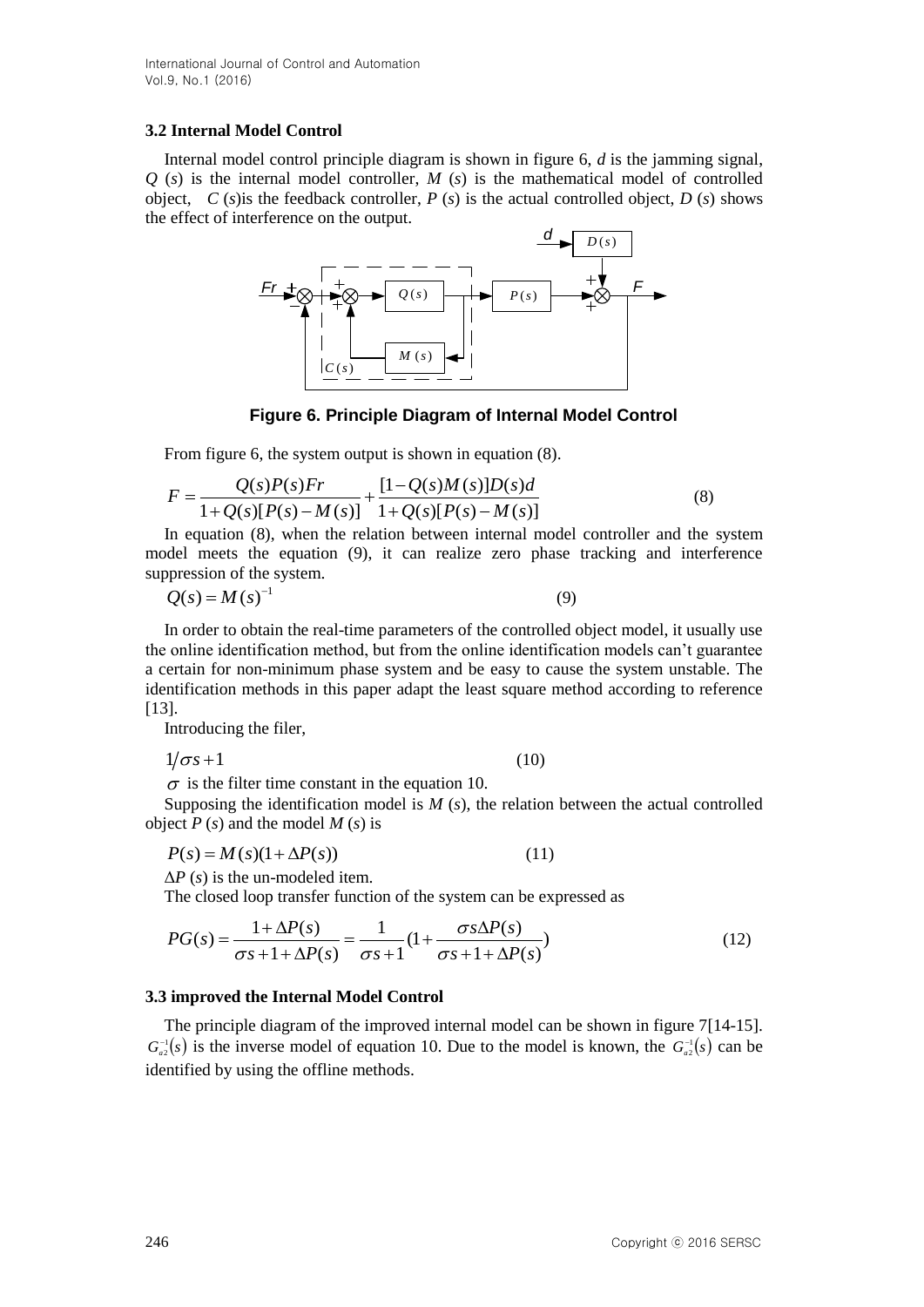International Journal of Control and Automation Vol.9, No.1 (2016)

#### **3.2 Internal Model Control**

Internal model control principle diagram is shown in figure 6, *d* is the jamming signal,  $Q(s)$  is the internal model controller,  $M(s)$  is the mathematical model of controlled object, *C* (*s*) is the feedback controller, *P* (*s*) is the actual controlled object, *D* (*s*) shows the effect of interference on the output.



**Figure 6. Principle Diagram of Internal Model Control**

From figure 6, the system output is shown in equation (8).  
\n
$$
F = \frac{Q(s)P(s)Fr}{1+Q(s)[P(s)-M(s)]} + \frac{[1-Q(s)M(s)]D(s)d}{1+Q(s)[P(s)-M(s)]}
$$
\n(8)

In equation (8), when the relation between internal model controller and the system model meets the equation (9), it can realize zero phase tracking and interference suppression of the system.

$$
Q(s) = M(s)^{-1}
$$
\n(9)

In order to obtain the real-time parameters of the controlled object model, it usually use the online identification method, but from the online identification models can"t guarantee a certain for non-minimum phase system and be easy to cause the system unstable. The identification methods in this paper adapt the least square method according to reference [13].

Introducing the filer,

 $1/\sigma s + 1$  (10)

 $\sigma$  is the filter time constant in the equation 10.

Supposing the identification model is *M* (*s*), the relation between the actual controlled object *P* (*s*) and the model *M* (*s*) is

$$
P(s) = M(s)(1 + \Delta P(s))
$$
\n(11)

Δ*P* (*s*) is the un-modeled item.

The closed loop transfer function of the system can be expressed as  
\n
$$
PG(s) = \frac{1 + \Delta P(s)}{\sigma s + 1 + \Delta P(s)} = \frac{1}{\sigma s + 1} \left(1 + \frac{\sigma s \Delta P(s)}{\sigma s + 1 + \Delta P(s)}\right)
$$
\n(12)

#### **3.3 improved the Internal Model Control**

The principle diagram of the improved internal model can be shown in figure 7[14-15].  $G_{a2}^{-1}(s)$  is the inverse model of equation 10. Due to the model is known, the  $G_{a2}^{-1}(s)$  can be identified by using the offline methods.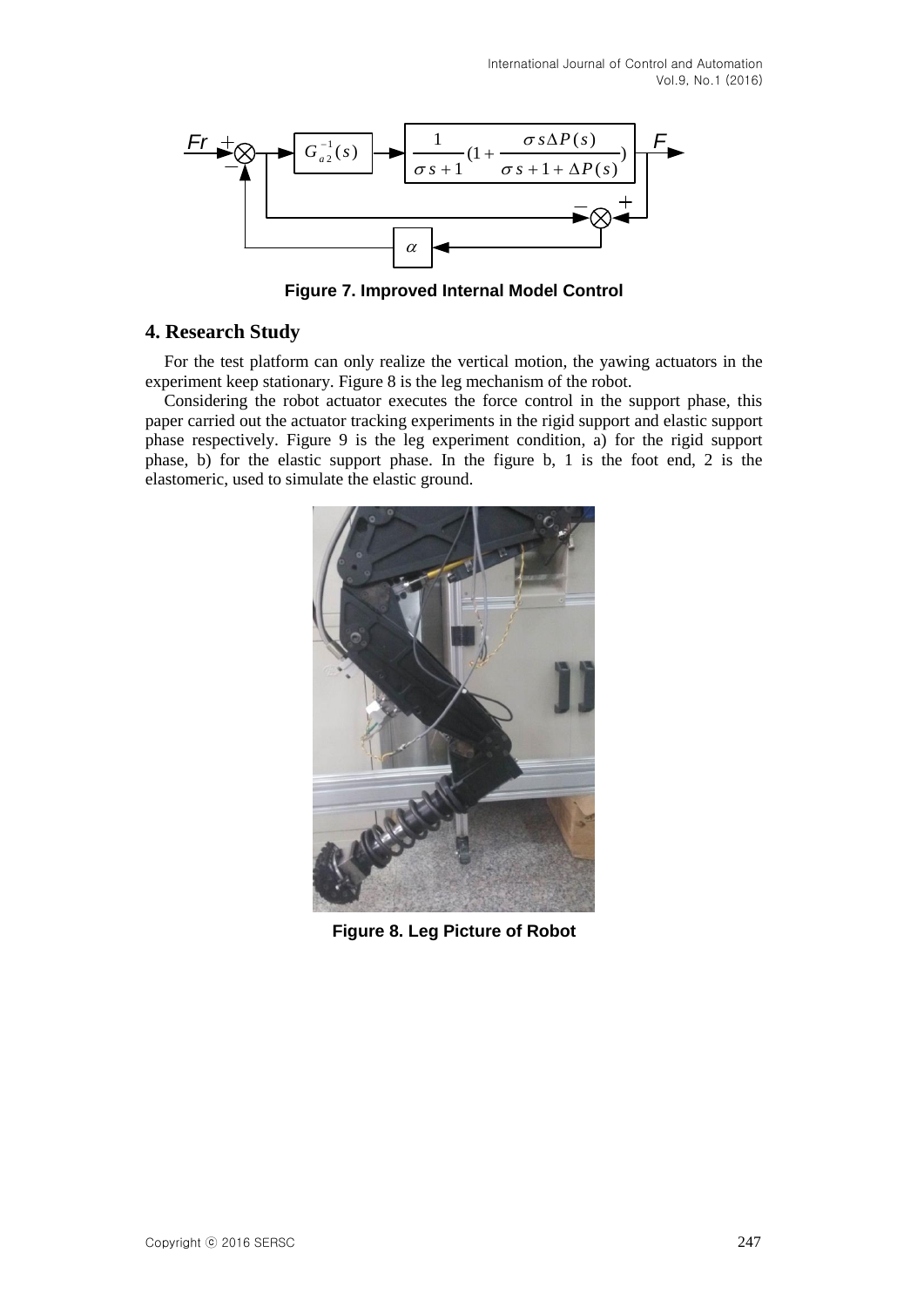Vol.9, No.1 (2016)



**Figure 7. Improved Internal Model Control**

## **4. Research Study**

For the test platform can only realize the vertical motion, the yawing actuators in the experiment keep stationary. Figure 8 is the leg mechanism of the robot.

Considering the robot actuator executes the force control in the support phase, this paper carried out the actuator tracking experiments in the rigid support and elastic support phase respectively. Figure 9 is the leg experiment condition, a) for the rigid support phase, b) for the elastic support phase. In the figure b, 1 is the foot end, 2 is the elastomeric, used to simulate the elastic ground.



**Figure 8. Leg Picture of Robot**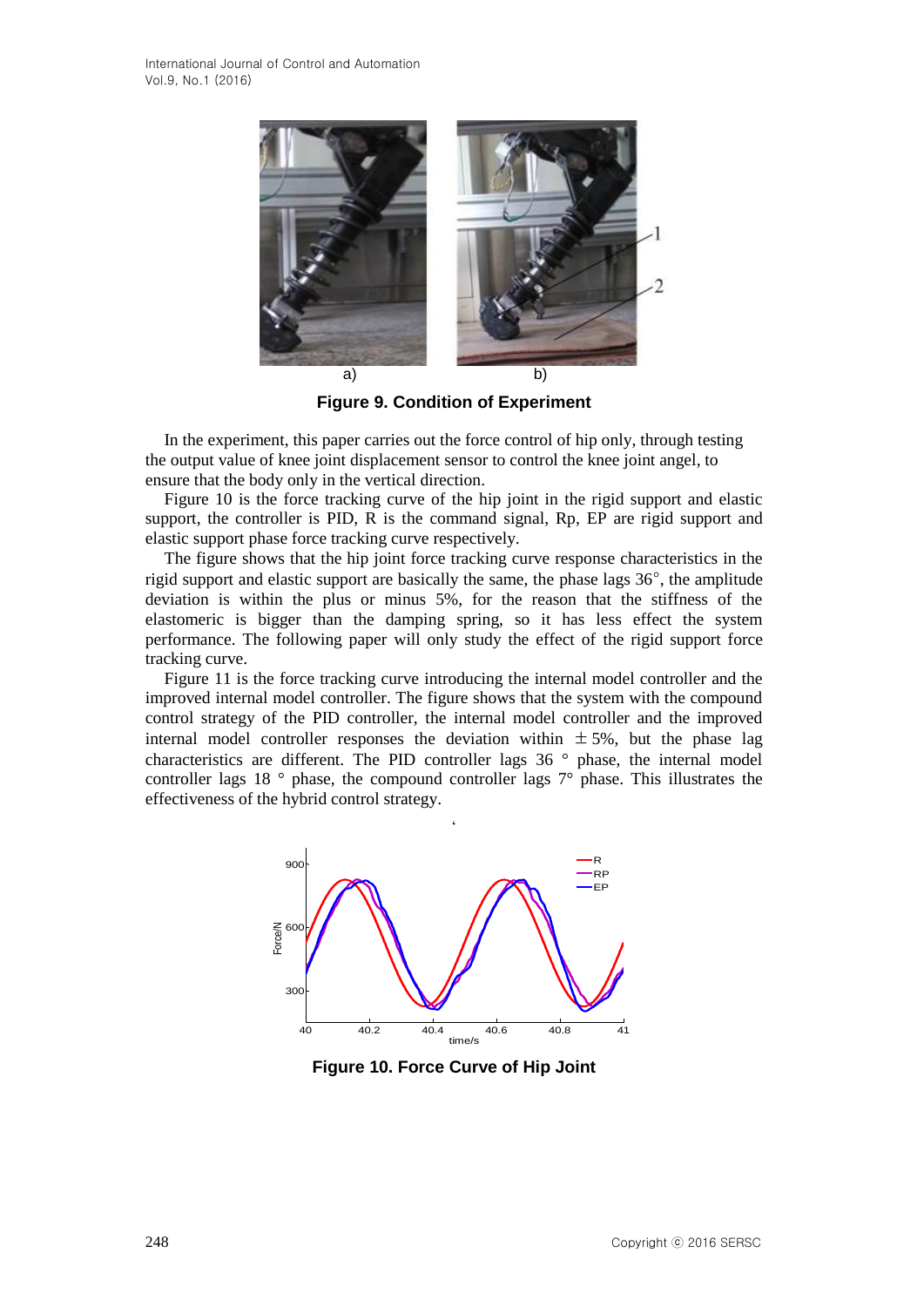

**Figure 9. Condition of Experiment**

In the experiment, this paper carries out the force control of hip only, through testing the output value of knee joint displacement sensor to control the knee joint angel, to ensure that the body only in the vertical direction.

Figure 10 is the force tracking curve of the hip joint in the rigid support and elastic support, the controller is PID, R is the command signal, Rp, EP are rigid support and elastic support phase force tracking curve respectively.

The figure shows that the hip joint force tracking curve response characteristics in the rigid support and elastic support are basically the same, the phase lags 36°, the amplitude deviation is within the plus or minus 5%, for the reason that the stiffness of the elastomeric is bigger than the damping spring, so it has less effect the system performance. The following paper will only study the effect of the rigid support force tracking curve.

Figure 11 is the force tracking curve introducing the internal model controller and the improved internal model controller. The figure shows that the system with the compound control strategy of the PID controller, the internal model controller and the improved internal model controller responses the deviation within  $\pm$  5%, but the phase lag characteristics are different. The PID controller lags 36 ° phase, the internal model controller lags 18 ° phase, the compound controller lags 7° phase. This illustrates the effectiveness of the hybrid control strategy.



**Figure 10. Force Curve of Hip Joint**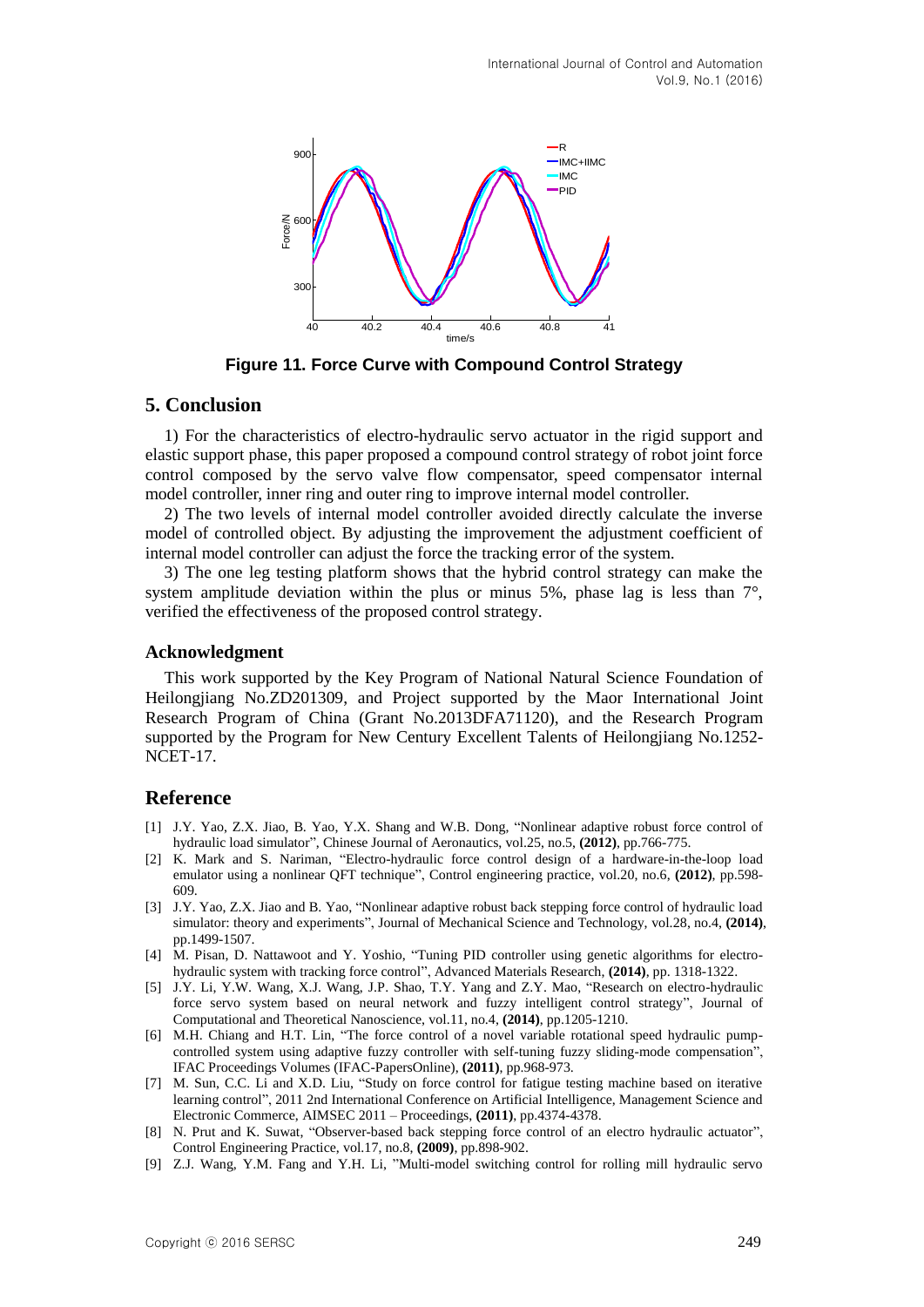

**Figure 11. Force Curve with Compound Control Strategy**

#### **5. Conclusion**

1) For the characteristics of electro-hydraulic servo actuator in the rigid support and elastic support phase, this paper proposed a compound control strategy of robot joint force control composed by the servo valve flow compensator, speed compensator internal model controller, inner ring and outer ring to improve internal model controller.

2) The two levels of internal model controller avoided directly calculate the inverse model of controlled object. By adjusting the improvement the adjustment coefficient of internal model controller can adjust the force the tracking error of the system.

3) The one leg testing platform shows that the hybrid control strategy can make the system amplitude deviation within the plus or minus 5%, phase lag is less than  $7^{\circ}$ , verified the effectiveness of the proposed control strategy.

#### **Acknowledgment**

This work supported by the Key Program of National Natural Science Foundation of Heilongjiang No.ZD201309, and Project supported by the Maor International Joint Research Program of China (Grant No.2013DFA71120), and the Research Program supported by the Program for New Century Excellent Talents of Heilongjiang No.1252- NCET-17.

## **Reference**

- [1] J.Y. Yao, Z.X. Jiao, B. Yao, Y.X. Shang and W.B. Dong, "Nonlinear adaptive robust force control of hydraulic load simulator", Chinese Journal of Aeronautics, vol.25, no.5, **(2012)**, pp.766-775.
- [2] K. Mark and S. Nariman, "Electro-hydraulic force control design of a hardware-in-the-loop load emulator using a nonlinear QFT technique", Control engineering practice, vol.20, no.6, **(2012)**, pp.598- 609.
- [3] J.Y. Yao, Z.X. Jiao and B. Yao, "Nonlinear adaptive robust back stepping force control of hydraulic load simulator: theory and experiments", Journal of Mechanical Science and Technology, vol.28, no.4, **(2014)**, pp.1499-1507.
- [4] [M. Pisan,](http://www.engineeringvillage.com/search/submit.url?CID=quickSearchCitationFormat&searchtype=Quick&searchWord1=%7bMoonumca%2C+Pisan%7d§ion1=AU&database=1&yearselect=yearrange&sort=yr) [D. Nattawoot](http://www.engineeringvillage.com/search/submit.url?CID=quickSearchCitationFormat&searchtype=Quick&searchWord1=%7bDepaiwa%2C+Nattawoot%7d§ion1=AU&database=1&yearselect=yearrange&sort=yr) and [Y. Yoshio,](http://www.engineeringvillage.com/search/submit.url?CID=quickSearchCitationFormat&searchtype=Quick&searchWord1=%7bYamamoto%2C+Yoshio%7d§ion1=AU&database=1&yearselect=yearrange&sort=yr) "Tuning PID controller using genetic algorithms for electrohydraulic system with tracking force control", Advanced Materials Research, **(2014)**, pp. 1318-1322.
- [5] J.Y. Li, Y.W. Wang, X.J. Wang, J.P. Shao, T.Y. Yang and Z.Y. Mao, "Research on electro-hydraulic force servo system based on neural network and fuzzy intelligent control strategy", Journal of Computational and Theoretical Nanoscience, vol.11, no.4, **(2014)**, pp.1205-1210.
- [6] M.H. [Chiang](http://www.engineeringvillage.com/search/submit.url?CID=quickSearchCitationFormat&searchtype=Quick&searchWord1=%7bChiang%2C+Mao-Hsiung%7d§ion1=AU&database=1&yearselect=yearrange&sort=yr) and H.T. [Lin,](http://www.engineeringvillage.com/search/submit.url?CID=quickSearchCitationFormat&searchtype=Quick&searchWord1=%7bLin%2C+Hao-Ting%7d§ion1=AU&database=1&yearselect=yearrange&sort=yr) "The force control of a novel variable rotational speed hydraulic pumpcontrolled system using adaptive fuzzy controller with self-tuning fuzzy sliding-mode compensation", IFAC Proceedings Volumes (IFAC-PapersOnline), **(2011)**, pp.968-973.
- [7] M. Sun, C.C. Li and X.D. Liu, "Study on force control for fatigue testing machine based on iterative learning control", 2011 2nd International Conference on Artificial Intelligence, Management Science and Electronic Commerce, AIMSEC 2011 – Proceedings, **(2011)**, pp.4374-4378.
- [8] N. [Prut](http://www.engineeringvillage.com/search/submit.url?CID=quickSearchCitationFormat&searchtype=Quick&searchWord1=%7bNakkarat%2C+Prut%7d§ion1=AU&database=1&yearselect=yearrange&sort=yr) and K. [Suwat,](http://www.engineeringvillage.com/search/submit.url?CID=quickSearchCitationFormat&searchtype=Quick&searchWord1=%7bKuntanapreeda%2C+Suwat%7d§ion1=AU&database=1&yearselect=yearrange&sort=yr) "Observer-based back stepping force control of an electro hydraulic actuator", Control Engineering Practice, vol.17, no.8, **(2009)**, pp.898-902.
- [9] Z.J. Wang, Y.M. Fang and Y.H. Li, "Multi-model switching control for rolling mill hydraulic servo